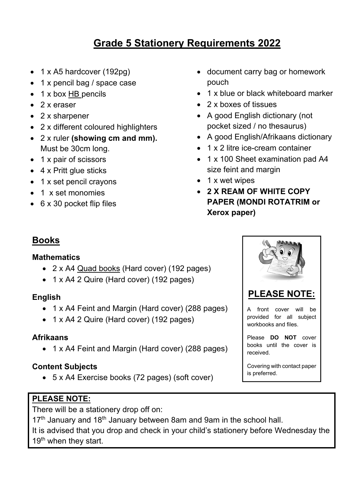# **Grade 5 Stationery Requirements 2022**

- 1 x A5 hardcover  $(192pg)$
- 1 x pencil bag / space case
- 1 x box HB pencils
- $\bullet$  2 x eraser
- 2 x sharpener
- 2 x different coloured highlighters
- 2 x ruler **(showing cm and mm).**  Must be 30cm long.
- 1 x pair of scissors
- 4 x Pritt glue sticks
- 1 x set pencil crayons
- 1 x set monomies
- 6 x 30 pocket flip files
- document carry bag or homework pouch
- 1 x blue or black whiteboard marker
- 2 x boxes of tissues
- A good English dictionary (not pocket sized / no thesaurus)
- A good English/Afrikaans dictionary
- 1 x 2 litre ice-cream container
- 1 x 100 Sheet examination pad A4 size feint and margin
- 1 x wet wipes
- **2 X REAM OF WHITE COPY PAPER (MONDI ROTATRIM or Xerox paper)**

## **Books**

#### **Mathematics**

- 2 x A4 Quad books (Hard cover) (192 pages)
- 1 x A4 2 Quire (Hard cover) (192 pages)

#### **English**

- 1 x A4 Feint and Margin (Hard cover) (288 pages)
- 1 x A4 2 Quire (Hard cover) (192 pages)

#### **Afrikaans**

• 1 x A4 Feint and Margin (Hard cover) (288 pages)

#### **Content Subjects**

5 x A4 Exercise books (72 pages) (soft cover)

### **PLEASE NOTE:**

There will be a stationery drop off on:

17<sup>th</sup> January and 18<sup>th</sup> January between 8am and 9am in the school hall. It is advised that you drop and check in your child's stationery before Wednesday the  $19<sup>th</sup>$  when they start.





A front cover will be provided for all subject workbooks and files.

Please **DO NOT** cover books until the cover is received.

Covering with contact paper is preferred.